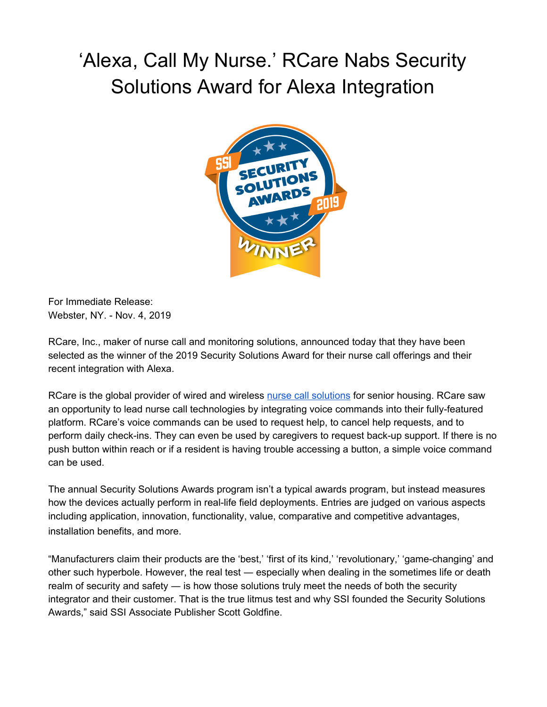## 'Alexa, Call My Nurse.' RCare Nabs Security Solutions Award for Alexa Integration



For Immediate Release: Webster, NY. - Nov. 4, 2019

[RCare,](http://rcareinc.com/) Inc., maker of nurse call and monitoring solutions, announced today that they have been selected as the winner of the 2019 Security Solutions Award for their nurse call offerings and their recent integration with Alexa.

RCare is the global provider of wired and wireless nurse call [solutions](https://rcareinc.com/) for senior housing. RCare saw an opportunity to lead nurse call technologies by integrating voice commands into their fully-featured platform. RCare's voice commands can be used to request help, to cancel help requests, and to perform daily check-ins. They can even be used by caregivers to request back-up support. If there is no push button within reach or if a resident is having trouble accessing a button, a simple voice command can be used.

The annual Security Solutions Awards program isn't a typical awards program, but instead measures how the devices actually perform in real-life field deployments. Entries are judged on various aspects including application, innovation, functionality, value, comparative and competitive advantages, installation benefits, and more.

"Manufacturers claim their products are the 'best,' 'first of its kind,' 'revolutionary,' 'game-changing' and other such hyperbole. However, the real test ― especially when dealing in the sometimes life or death realm of security and safety — is how those solutions truly meet the needs of both the security integrator and their customer. That is the true litmus test and why SSI founded the Security Solutions Awards," said SSI Associate Publisher Scott Goldfine.